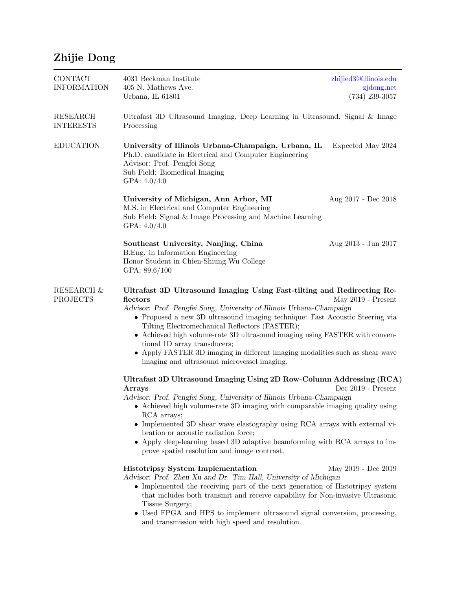## Zhijie Dong

| <b>CONTACT</b><br><b>INFORMATION</b>     | 4031 Beckman Institute<br>405 N. Mathews Ave.<br>Urbana, IL 61801                                                                                                                                                                                                                                                                                                                                                                                                                                                                                                                                                                                                                                                                                                                                                                         | zhijied3@illinois.edu<br>zjdong.net<br>$(734)$ 239-3057 |  |
|------------------------------------------|-------------------------------------------------------------------------------------------------------------------------------------------------------------------------------------------------------------------------------------------------------------------------------------------------------------------------------------------------------------------------------------------------------------------------------------------------------------------------------------------------------------------------------------------------------------------------------------------------------------------------------------------------------------------------------------------------------------------------------------------------------------------------------------------------------------------------------------------|---------------------------------------------------------|--|
| <b>RESEARCH</b><br><b>INTERESTS</b>      | Ultrafast 3D Ultrasound Imaging, Deep Learning in Ultrasound, Signal & Image<br>Processing                                                                                                                                                                                                                                                                                                                                                                                                                                                                                                                                                                                                                                                                                                                                                |                                                         |  |
| <b>EDUCATION</b>                         | University of Illinois Urbana-Champaign, Urbana, IL<br>Ph.D. candidate in Electrical and Computer Engineering<br>Advisor: Prof. Pengfei Song<br>Sub Field: Biomedical Imaging<br>GPA: $4.0/4.0$                                                                                                                                                                                                                                                                                                                                                                                                                                                                                                                                                                                                                                           | Expected May 2024                                       |  |
|                                          | University of Michigan, Ann Arbor, MI<br>M.S. in Electrical and Computer Engineering<br>Sub Field: Signal & Image Processing and Machine Learning<br>GPA: $4.0/4.0$                                                                                                                                                                                                                                                                                                                                                                                                                                                                                                                                                                                                                                                                       | Aug 2017 - Dec 2018                                     |  |
|                                          | Southeast University, Nanjing, China<br>B. Eng. in Information Engineering<br>Honor Student in Chien-Shiung Wu College<br>GPA: 89.6/100                                                                                                                                                                                                                                                                                                                                                                                                                                                                                                                                                                                                                                                                                                   | Aug 2013 - Jun 2017                                     |  |
| <b>RESEARCH &amp;</b><br><b>PROJECTS</b> | Ultrafast 3D Ultrasound Imaging Using Fast-tilting and Redirecting Re-<br>flectors<br>May 2019 - Present<br>Advisor: Prof. Pengfei Song, University of Illinois Urbana-Champaign<br>• Proposed a new 3D ultrasound imaging technique: Fast Acoustic Steering via<br>Tilting Electromechanical Reflectors (FASTER);<br>• Achieved high volume-rate 3D ultrasound imaging using FASTER with conven-<br>tional 1D array transducers;<br>• Apply FASTER 3D imaging in different imaging modalities such as shear wave<br>imaging and ultrasound microvessel imaging.                                                                                                                                                                                                                                                                          |                                                         |  |
|                                          | Ultrafast 3D Ultrasound Imaging Using 2D Row-Column Addressing (RCA)<br>Dec $2019$ - Present<br>Arrays<br>Advisor: Prof. Pengfei Song, University of Illinois Urbana-Champaign<br>Achieved high volume-rate 3D imaging with comparable imaging quality using<br>RCA arrays;<br>• Implemented 3D shear wave elastography using RCA arrays with external vi-<br>bration or acoustic radiation force;<br>• Apply deep-learning based 3D adaptive beamforming with RCA arrays to im-<br>prove spatial resolution and image contrast.<br><b>Histotripsy System Implementation</b><br>May 2019 - Dec 2019<br>Advisor: Prof. Zhen Xu and Dr. Tim Hall, University of Michigan<br>• Implemented the receiving part of the next generation of Histotripsy system<br>that includes both transmit and receive capability for Non-invasive Ultrasonic |                                                         |  |
|                                          | Tissue Surgery;<br>• Used FPGA and HPS to implement ultrasound signal conversion, processing,<br>and transmission with high speed and resolution.                                                                                                                                                                                                                                                                                                                                                                                                                                                                                                                                                                                                                                                                                         |                                                         |  |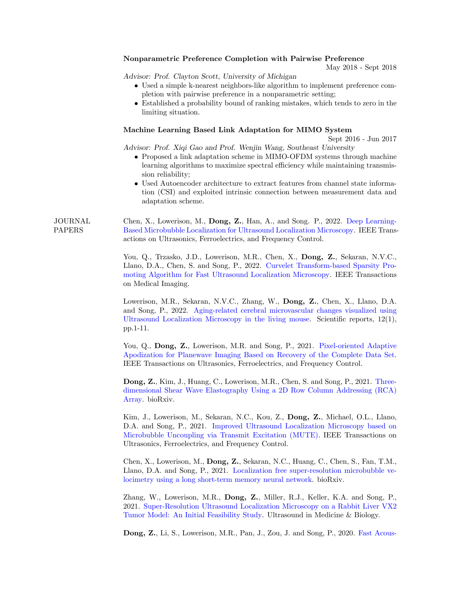|                                 | Nonparametric Preference Completion with Pairwise Preference<br>May 2018 - Sept 2018                                                                                                                                                                                                                                                                                                                                                                                   |
|---------------------------------|------------------------------------------------------------------------------------------------------------------------------------------------------------------------------------------------------------------------------------------------------------------------------------------------------------------------------------------------------------------------------------------------------------------------------------------------------------------------|
|                                 | Advisor: Prof. Clayton Scott, University of Michigan<br>• Used a simple k-nearest neighbors-like algorithm to implement preference com-<br>pletion with pairwise preference in a nonparametric setting;<br>• Established a probability bound of ranking mistakes, which tends to zero in the<br>limiting situation.                                                                                                                                                    |
|                                 | Machine Learning Based Link Adaptation for MIMO System                                                                                                                                                                                                                                                                                                                                                                                                                 |
|                                 | Sept 2016 - Jun 2017<br>Advisor: Prof. Xiqi Gao and Prof. Wenjin Wang, Southeast University<br>• Proposed a link adaptation scheme in MIMO-OFDM systems through machine<br>learning algorithms to maximize spectral efficiency while maintaining transmis-<br>sion reliability;<br>• Used Autoencoder architecture to extract features from channel state informa-<br>tion (CSI) and exploited intrinsic connection between measurement data and<br>adaptation scheme. |
| <b>JOURNAL</b><br><b>PAPERS</b> | Chen, X., Lowerison, M., Dong, Z., Han, A., and Song. P., 2022. Deep Learning-<br>Based Microbubble Localization for Ultrasound Localization Microscopy. IEEE Trans-<br>actions on Ultrasonics, Ferroelectrics, and Frequency Control.                                                                                                                                                                                                                                 |
|                                 | You, Q., Trzasko, J.D., Lowerison, M.R., Chen, X., Dong, Z., Sekaran, N.V.C.,<br>Llano, D.A., Chen, S. and Song, P., 2022. Curvelet Transform-based Sparsity Pro-<br>moting Algorithm for Fast Ultrasound Localization Microscopy. IEEE Transactions<br>on Medical Imaging.                                                                                                                                                                                            |
|                                 | Lowerison, M.R., Sekaran, N.V.C., Zhang, W., Dong, Z., Chen, X., Llano, D.A.<br>and Song, P., 2022. Aging-related cerebral microvascular changes visualized using<br>Ultrasound Localization Microscopy in the living mouse. Scientific reports, $12(1)$ ,<br>pp.1-11.                                                                                                                                                                                                 |
|                                 | You, Q., Dong, Z., Lowerison, M.R. and Song, P., 2021. Pixel-oriented Adaptive<br>Apodization for Planewave Imaging Based on Recovery of the Complete Data Set.<br>IEEE Transactions on Ultrasonics, Ferroelectrics, and Frequency Control.                                                                                                                                                                                                                            |

Dong, Z., Kim, J., Huang, C., [Lowerison,](https://www.biorxiv.org/content/10.1101/2021.11.10.467798v1.abstract) M.R., Chen, S. and Song, P., 2021. Threedimensional Shear Wave Elastography Using a 2D Row Column Addressing (RCA) Array. bioRxiv.

Kim, J., Lowerison, M., Sekaran, N.C., Kou, Z., Dong, Z., Michael, O.L., Llano, D.A. and Song, P., 2021. Improved [Ultrasound](https://ieeexplore.ieee.org/document/9684367) Localization Microscopy based on Microbubble Uncoupling via Transmit Excitation (MUTE). IEEE Transactions on Ultrasonics, Ferroelectrics, and Frequency Control.

Chen, X., Lowerison, M., Dong, Z., Sekaran, N.C., Huang, C., Chen, S., Fan, T.M., Llano, D.A. and Song, P., 2021. [Localization](https://www.biorxiv.org/content/10.1101/2021.10.01.462404v1.full) free super-resolution microbubble velocimetry using a long short-term memory neural network. bioRxiv.

Zhang, W., Lowerison, M.R., Dong, Z., Miller, R.J., Keller, K.A. and Song, P., 2021. [Super-Resolution](https://www.sciencedirect.com/science/article/pii/S0301562921001915) Ultrasound Localization Microscopy on a Rabbit Liver VX2 Tumor Model: An Initial Feasibility Study. Ultrasound in Medicine & Biology.

Dong, Z., Li, S., Lowerison, M.R., Pan, J., Zou, J. and Song, P., 2020. Fast Acous-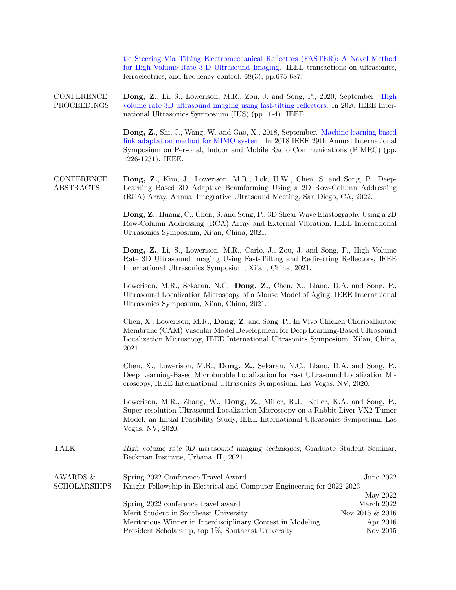tic Steering Via Tilting Electromechanical Reflectors (FASTER): A Novel Method for High Volume Rate 3-D Ultrasound Imaging. IEEE transactions on ultrasonics, ferroelectrics, and frequency control, 68(3), pp.675-687.

**CONFERENCE** PROCEEDINGS Dong, Z., Li, S., Lowerison, M.R., Zou, J. and Song, P., 2020, [September.](https://ieeexplore.ieee.org/abstract/document/9251559) High volume rate 3D ultrasound imaging using fast-tilting reflectors. In 2020 IEEE International Ultrasonics Symposium (IUS) (pp. 1-4). IEEE.

> Dong, Z., Shi, J., Wang, W. and Gao, X., 2018, [September.](https://ieeexplore.ieee.org/document/8580924) Machine learning based link adaptation method for MIMO system. In 2018 IEEE 29th Annual International Symposium on Personal, Indoor and Mobile Radio Communications (PIMRC) (pp. 1226-1231). IEEE.

**CONFERENCE** ABSTRACTS Dong, Z., Kim, J., Lowerison, M.R., Lok, U.W., Chen, S. and Song, P., Deep-Learning Based 3D Adaptive Beamforming Using a 2D Row-Column Addressing (RCA) Array, Annual Integrative Ultrasound Meeting, San Diego, CA, 2022.

> Dong, Z., Huang, C., Chen, S. and Song, P., 3D Shear Wave Elastography Using a 2D Row-Column Addressing (RCA) Array and External Vibration, IEEE International Ultrasonics Symposium, Xi'an, China, 2021.

> Dong, Z., Li, S., Lowerison, M.R., Cario, J., Zou, J. and Song, P., High Volume Rate 3D Ultrasound Imaging Using Fast-Tilting and Redirecting Reflectors, IEEE International Ultrasonics Symposium, Xi'an, China, 2021.

> Lowerison, M.R., Sekaran, N.C., Dong, Z., Chen, X., Llano, D.A. and Song, P., Ultrasound Localization Microscopy of a Mouse Model of Aging, IEEE International Ultrasonics Symposium, Xi'an, China, 2021.

> Chen, X., Lowerison, M.R., Dong, Z. and Song, P., In Vivo Chicken Chorioallantoic Membrane (CAM) Vascular Model Development for Deep Learning-Based Ultrasound Localization Microscopy, IEEE International Ultrasonics Symposium, Xi'an, China, 2021.

> Chen, X., Lowerison, M.R., Dong, Z., Sekaran, N.C., Llano, D.A. and Song, P., Deep Learning-Based Microbubble Localization for Fast Ultrasound Localization Microscopy, IEEE International Ultrasonics Symposium, Las Vegas, NV, 2020.

> Lowerison, M.R., Zhang, W., Dong, Z., Miller, R.J., Keller, K.A. and Song, P., Super-resolution Ultrasound Localization Microscopy on a Rabbit Liver VX2 Tumor Model: an Initial Feasibility Study, IEEE International Ultrasonics Symposium, Las Vegas, NV, 2020.

TALK *High volume rate 3D ultrasound imaging techniques*, Graduate Student Seminar, Beckman Institute, Urbana, IL, 2021.

| AWARDS $\&$         | Spring 2022 Conference Travel Award                                    | June 2022          |
|---------------------|------------------------------------------------------------------------|--------------------|
| <b>SCHOLARSHIPS</b> | Knight Fellowship in Electrical and Computer Engineering for 2022-2023 |                    |
|                     |                                                                        | May 2022           |
|                     | Spring 2022 conference travel award                                    | March 2022         |
|                     | Merit Student in Southeast University                                  | Nov 2015 $\&$ 2016 |
|                     | Meritorious Winner in Interdisciplinary Contest in Modeling            | Apr 2016           |
|                     | President Scholarship, top 1%, Southeast University                    | Nov 2015           |